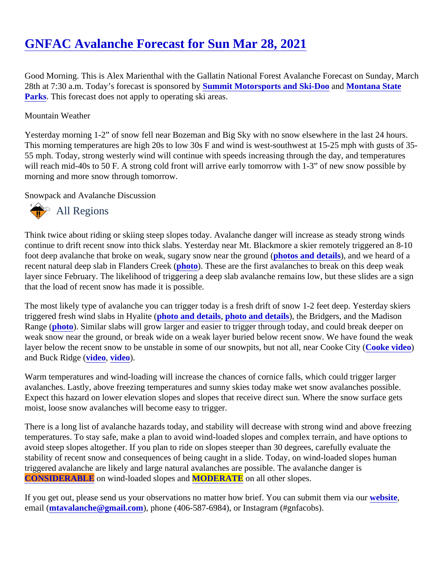Good Morning. This is Alex Marienthal with the Gallatin National Forest Avalanche Forecast on Sunday, March 28th at 7:30 a.m. Today's forecast is sponsored uby mit Motorsports and Ski-Doo and [Montana State](http://stateparks.mt.gov/) [Parks](http://stateparks.mt.gov/). This forecast does not apply to operating ski areas.

## Mountain Weather

Yesterday morning 1-2" of snow fell near Bozeman and Big Sky with no snow elsewhere in the last 24 hours. This morning temperatures are high 20s to low 30s F and wind is west-southwest at 15-25 mph with gusts of 35- 55 mph. Today, strong westerly wind will continue with speeds increasing through the day, and temperatures will reach mid-40s to 50 F. A strong cold front will arrive early tomorrow with 1-3" of new snow possible by morning and more snow through tomorrow.

Snowpack and Avalanche Discussion

## All Regions

Think twice about riding or skiing steep slopes today. Avalanche danger will increase as steady strong winds continue to drift recent snow into thick slabs. Yesterday near Mt. Blackmore a skier remotely triggered an 8-10 foot deep avalanche that broke on weak, sugary snow near the ground (and details), and we heard of a recent natural deep slab in Flanders Creek (o). These are the first avalanches to break on this deep weak layer since February. The likelihood of triggering a deep slab avalanche remains low, but these slides are a s that the load of recent snow has made it is possible.

The most likely type of avalanche you can trigger today is a fresh drift of snow 1-2 feet deep. Yesterday skiers triggered fresh wind slabs in Hyalite (oto and details [photo and details](https://www.mtavalanche.com/node/24731)), the Bridgers, and the Madison Range [\(photo](https://www.mtavalanche.com/images/21/wind-slab-avalanche-pyramid-point)). Similar slabs will grow larger and easier to trigger through today, and could break deeper on weak snow near the ground, or break wide on a weak layer buried below recent snow. We have found the we layer below the recent snow to be unstable in some of our snowpits, but not all, near Cooke City (dec) and Buck Ridgevideo, [video](https://www.youtube.com/watch?v=zCKlHstJTqc&list=PLXu5151nmAvQDzKmH5K3ZS8Gg3DzwsZ3O&index=7)).

Warm temperatures and wind-loading will increase the chances of cornice falls, which could trigger larger avalanches. Lastly, above freezing temperatures and sunny skies today make wet snow avalanches possible. Expect this hazard on lower elevation slopes and slopes that receive direct sun. Where the snow surface gets moist, loose snow avalanches will become easy to trigger.

There is a long list of avalanche hazards today, and stability will decrease with strong wind and above freezin temperatures. To stay safe, make a plan to avoid wind-loaded slopes and complex terrain, and have options to avoid steep slopes altogether. If you plan to ride on slopes steeper than 30 degrees, carefully evaluate the stability of recent snow and consequences of being caught in a slide. Today, on wind-loaded slopes human triggered avalanche are likely and large natural avalanches are possible. The avalanche danger is [CONSIDERABLE](https://www.mtavalanche.com/images/DangerScale-small.jpg) on wind-loaded slopes a MODERATE on all other slopes.

If you get out, please send us your observations no matter how brief. You can submit them velasing email [\(mtavalanche@gmail.com](mailto:mtavalanche@gmail.com)), phone (406-587-6984), or Instagram (#gnfacobs).